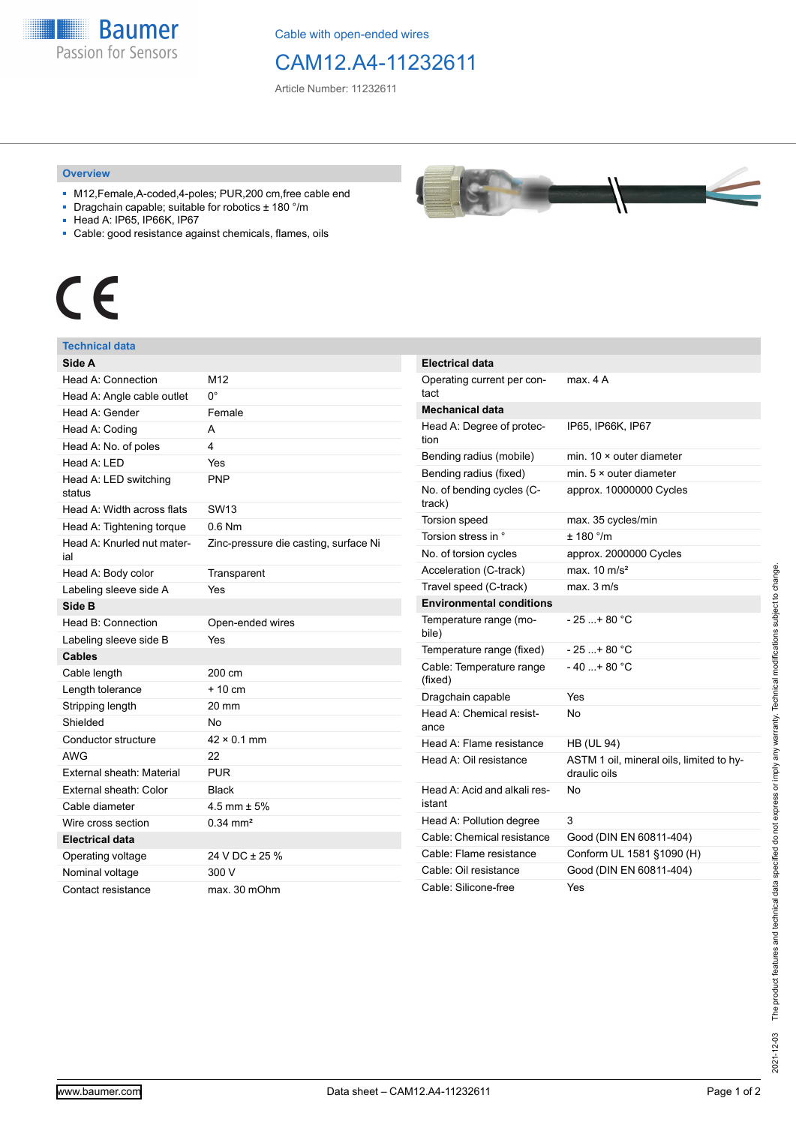**Baumer** Passion for Sensors

Cable with open-ended wires

## CAM12.A4-11232611

Article Number: 11232611

## **Overview**

- M12,Female,A-coded,4-poles; PUR,200 cm,free cable end
- Dragchain capable; suitable for robotics ± 180 °/m
- Head A: IP65, IP66K, IP67
- Cable: good resistance against chemicals, flames, oils



## **Technical data**

| Side A                            |                                       | E      |
|-----------------------------------|---------------------------------------|--------|
| Head A: Connection                | M12                                   | (      |
| Head A: Angle cable outlet        | 0°                                    | t      |
| Head A: Gender                    | Female                                | ľ      |
| Head A: Coding                    | A                                     | ŀ      |
| Head A: No. of poles              | 4                                     | t      |
| Head A: LED                       | Yes                                   | E      |
| Head A: LED switching<br>status   | <b>PNP</b>                            | E<br>ľ |
| Head A: Width across flats        | SW <sub>13</sub>                      | t      |
| Head A: Tightening torque         | $0.6$ Nm                              |        |
| Head A: Knurled nut mater-<br>ial | Zinc-pressure die casting, surface Ni | ľ      |
| Head A: Body color                | Transparent                           | ł      |
| Labeling sleeve side A            | Yes                                   |        |
| Side B                            |                                       | E      |
| Head B: Connection                | Open-ended wires                      |        |
| Labeling sleeve side B            | Yes                                   | ł      |
| <b>Cables</b>                     |                                       |        |
| Cable length                      | 200 cm                                | O      |
| Length tolerance                  | $+10cm$                               | (<br>D |
| Stripping length                  | 20 mm                                 | ŀ      |
| Shielded                          | No                                    | ć      |
| Conductor structure               | $42 \times 0.1$ mm                    | ŀ      |
| <b>AWG</b>                        | 22                                    | ŀ      |
| External sheath: Material         | <b>PUR</b>                            |        |
| External sheath: Color            | <b>Black</b>                          | ŀ      |
| Cable diameter                    | 4.5 mm $\pm$ 5%                       | j.     |
| Wire cross section                | $0.34 \text{ mm}^2$                   | ŀ      |
| <b>Electrical data</b>            |                                       | (      |
| Operating voltage                 | 24 V DC ± 25 %                        | O      |
| Nominal voltage                   | 300 V                                 | O      |
| Contact resistance                | max. 30 mOhm                          | C      |



| <b>Electrical data</b>                 |                                                          |
|----------------------------------------|----------------------------------------------------------|
| Operating current per con-<br>tact     | max 4 A                                                  |
| <b>Mechanical data</b>                 |                                                          |
| Head A: Degree of protec-<br>tion      | IP65, IP66K, IP67                                        |
| Bending radius (mobile)                | min. $10 \times$ outer diameter                          |
| Bending radius (fixed)                 | min. $5 \times$ outer diameter                           |
| No. of bending cycles (C-<br>track)    | approx. 10000000 Cycles                                  |
| <b>Torsion speed</b>                   | max. 35 cycles/min                                       |
| Torsion stress in °                    | $+ 180$ °/m                                              |
| No. of torsion cycles                  | approx. 2000000 Cycles                                   |
| Acceleration (C-track)                 | max. $10 \text{ m/s}^2$                                  |
| Travel speed (C-track)                 | max. 3 m/s                                               |
| <b>Environmental conditions</b>        |                                                          |
| Temperature range (mo-<br>bile)        | $-25$ + 80 °C                                            |
| Temperature range (fixed)              | $-25+80 °C$                                              |
| Cable: Temperature range<br>(fixed)    | $-40+80 °C$                                              |
| Dragchain capable                      | Yes                                                      |
| Head A: Chemical resist-<br>ance       | N٥                                                       |
| Head A: Flame resistance               | <b>HB (UL 94)</b>                                        |
| Head A: Oil resistance                 | ASTM 1 oil, mineral oils, limited to hy-<br>draulic oils |
| Head A: Acid and alkali res-<br>istant | No                                                       |
| Head A: Pollution degree               | 3                                                        |
| Cable: Chemical resistance             | Good (DIN EN 60811-404)                                  |
| Cable: Flame resistance                | Conform UL 1581 §1090 (H)                                |
| Cable: Oil resistance                  | Good (DIN EN 60811-404)                                  |
| Cable: Silicone-free                   | Yes                                                      |